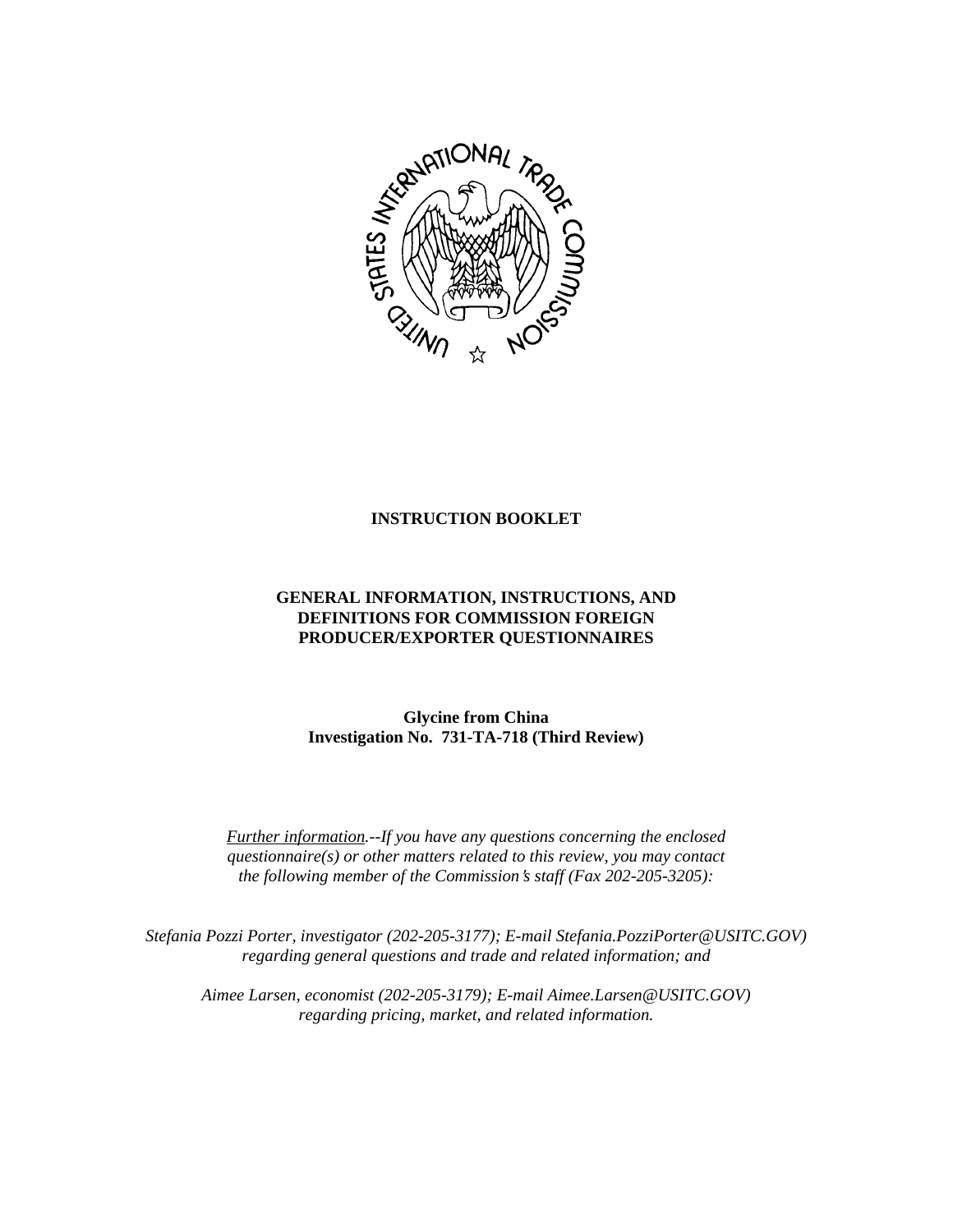

# **INSTRUCTION BOOKLET**

# **GENERAL INFORMATION, INSTRUCTIONS, AND DEFINITIONS FOR COMMISSION FOREIGN PRODUCER/EXPORTER QUESTIONNAIRES**

**Glycine from China Investigation No. 731-TA-718 (Third Review)**

*Further information.--If you have any questions concerning the enclosed questionnaire(s) or other matters related to this review, you may contact the following member of the Commission's staff (Fax 202-205-3205):* 

 *Stefania Pozzi Porter, investigator (202-205-3177); E-mail Stefania.PozziPorter@USITC.GOV) regarding general questions and trade and related information; and* 

 *Aimee Larsen, economist (202-205-3179); E-mail Aimee.Larsen@USITC.GOV) regarding pricing, market, and related information.*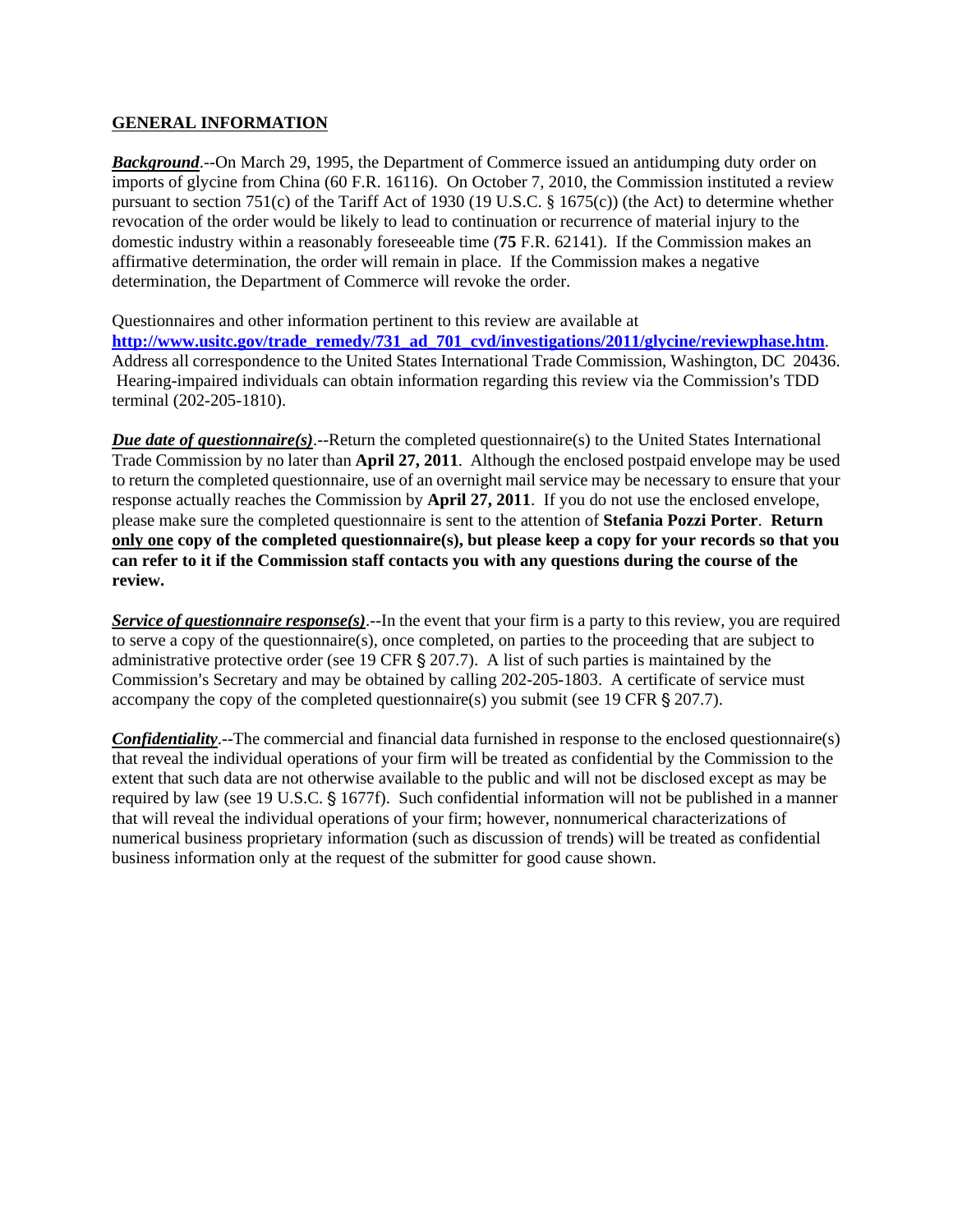### **GENERAL INFORMATION**

**Background**.--On March 29, 1995, the Department of Commerce issued an antidumping duty order on imports of glycine from China (60 F.R. 16116). On October 7, 2010, the Commission instituted a review pursuant to section 751(c) of the Tariff Act of 1930 (19 U.S.C. § 1675(c)) (the Act) to determine whether revocation of the order would be likely to lead to continuation or recurrence of material injury to the domestic industry within a reasonably foreseeable time (**75** F.R. 62141). If the Commission makes an affirmative determination, the order will remain in place. If the Commission makes a negative determination, the Department of Commerce will revoke the order.

Questionnaires and other information pertinent to this review are available at **http://www.usitc.gov/trade\_remedy/731\_ad\_701\_cvd/investigations/2011/glycine/reviewphase.htm**. Address all correspondence to the United States International Trade Commission, Washington, DC 20436. Hearing-impaired individuals can obtain information regarding this review via the Commission's TDD terminal (202-205-1810).

*Due date of questionnaire(s)*.--Return the completed questionnaire(s) to the United States International Trade Commission by no later than **April 27, 2011**. Although the enclosed postpaid envelope may be used to return the completed questionnaire, use of an overnight mail service may be necessary to ensure that your response actually reaches the Commission by **April 27, 2011**. If you do not use the enclosed envelope, please make sure the completed questionnaire is sent to the attention of **Stefania Pozzi Porter**. **Return only one copy of the completed questionnaire(s), but please keep a copy for your records so that you can refer to it if the Commission staff contacts you with any questions during the course of the review.**

*Service of questionnaire response(s)*.--In the event that your firm is a party to this review, you are required to serve a copy of the questionnaire(s), once completed, on parties to the proceeding that are subject to administrative protective order (see 19 CFR  $\S 207.7$ ). A list of such parties is maintained by the Commission's Secretary and may be obtained by calling  $202-205-1803$ . A certificate of service must accompany the copy of the completed questionnaire(s) you submit (see 19 CFR  $\S$  207.7).

*Confidentiality*.--The commercial and financial data furnished in response to the enclosed questionnaire(s) that reveal the individual operations of your firm will be treated as confidential by the Commission to the extent that such data are not otherwise available to the public and will not be disclosed except as may be required by law (see 19 U.S.C. § 1677f). Such confidential information will not be published in a manner that will reveal the individual operations of your firm; however, nonnumerical characterizations of numerical business proprietary information (such as discussion of trends) will be treated as confidential business information only at the request of the submitter for good cause shown.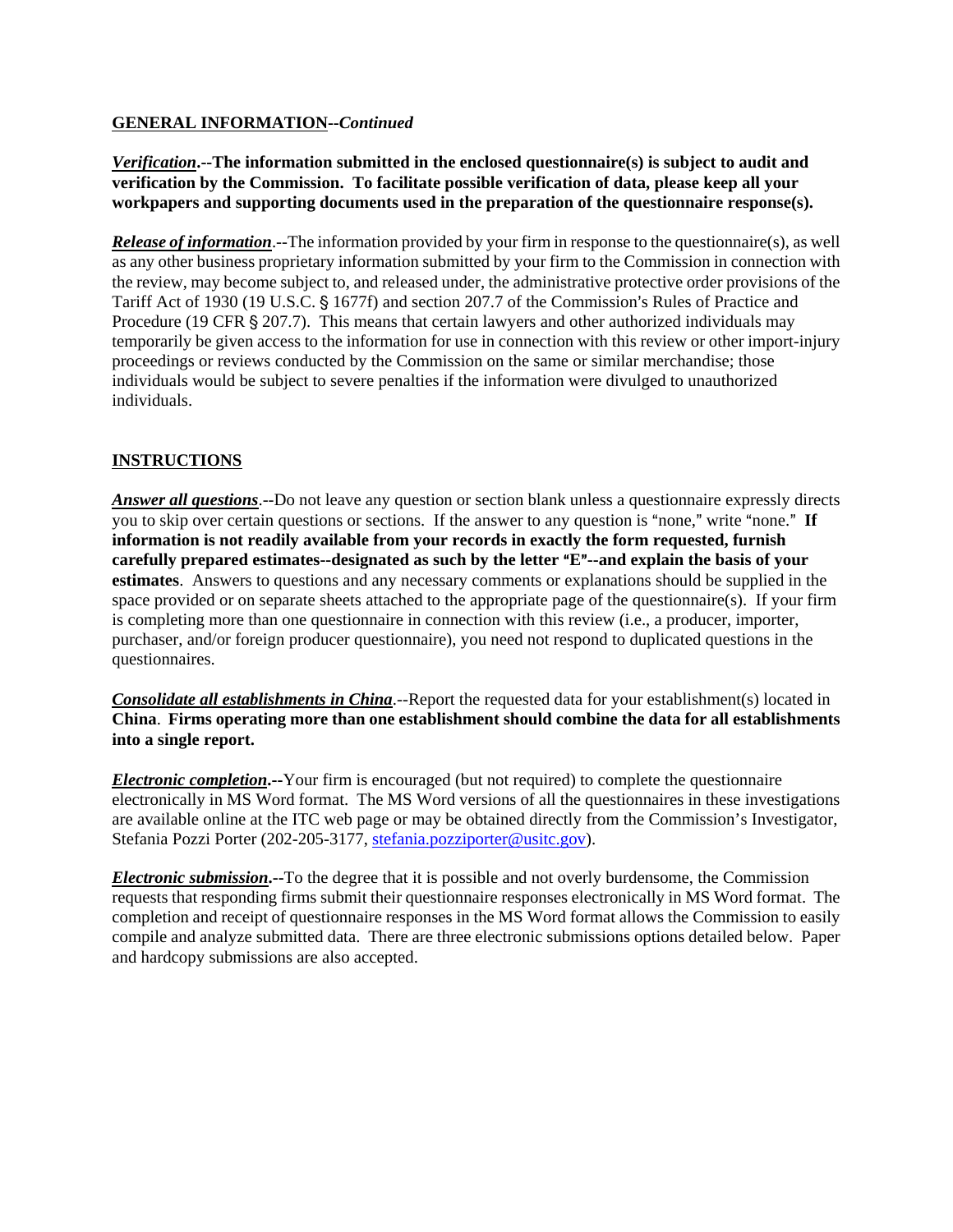## **GENERAL INFORMATION--***Continued*

*Verification***.--The information submitted in the enclosed questionnaire(s) is subject to audit and verification by the Commission. To facilitate possible verification of data, please keep all your workpapers and supporting documents used in the preparation of the questionnaire response(s).**

*Release of information*.--The information provided by your firm in response to the questionnaire(s), as well as any other business proprietary information submitted by your firm to the Commission in connection with the review, may become subject to, and released under, the administrative protective order provisions of the Tariff Act of 1930 (19 U.S.C. § 1677f) and section 207.7 of the Commission's Rules of Practice and Procedure (19 CFR  $\S 207.7$ ). This means that certain lawyers and other authorized individuals may temporarily be given access to the information for use in connection with this review or other import-injury proceedings or reviews conducted by the Commission on the same or similar merchandise; those individuals would be subject to severe penalties if the information were divulged to unauthorized individuals.

## **INSTRUCTIONS**

*Answer all questions*.--Do not leave any question or section blank unless a questionnaire expressly directs you to skip over certain questions or sections. If the answer to any question is "none," write "none." If **information is not readily available from your records in exactly the form requested, furnish carefully prepared estimates--designated as such by the letter "E"--and explain the basis of your estimates**. Answers to questions and any necessary comments or explanations should be supplied in the space provided or on separate sheets attached to the appropriate page of the questionnaire(s). If your firm is completing more than one questionnaire in connection with this review (i.e., a producer, importer, purchaser, and/or foreign producer questionnaire), you need not respond to duplicated questions in the questionnaires.

*Consolidate all establishments in China*.--Report the requested data for your establishment(s) located in **China**. **Firms operating more than one establishment should combine the data for all establishments into a single report.** 

*Electronic completion***.--**Your firm is encouraged (but not required) to complete the questionnaire electronically in MS Word format. The MS Word versions of all the questionnaires in these investigations are available online at the ITC web page or may be obtained directly from the Commission's Investigator, Stefania Pozzi Porter (202-205-3177, stefania.pozziporter@usitc.gov).

*Electronic submission***.--**To the degree that it is possible and not overly burdensome, the Commission requests that responding firms submit their questionnaire responses electronically in MS Word format. The completion and receipt of questionnaire responses in the MS Word format allows the Commission to easily compile and analyze submitted data. There are three electronic submissions options detailed below. Paper and hardcopy submissions are also accepted.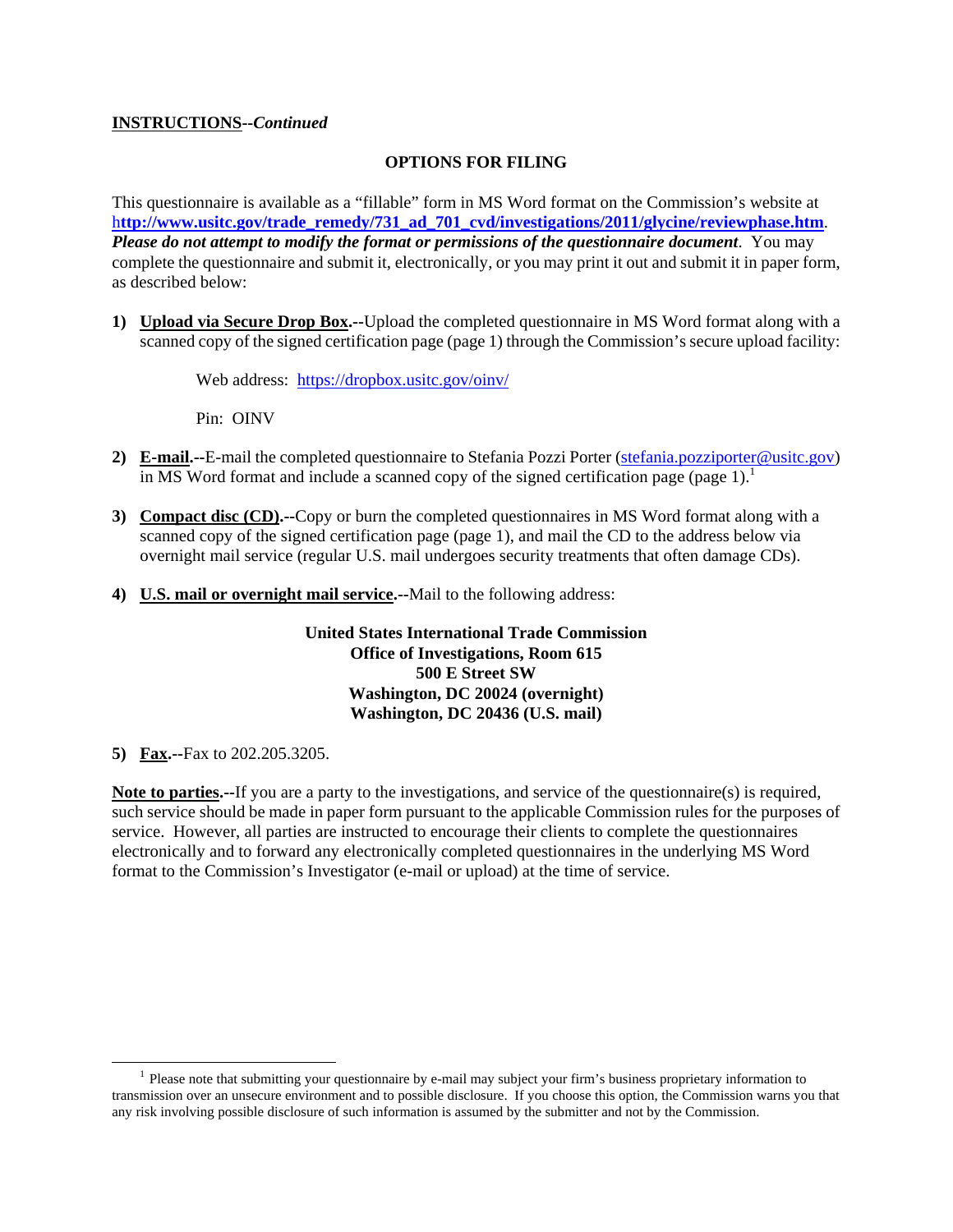### **INSTRUCTIONS--***Continued*

## **OPTIONS FOR FILING**

This questionnaire is available as a "fillable" form in MS Word format on the Commission's website at h**ttp://www.usitc.gov/trade\_remedy/731\_ad\_701\_cvd/investigations/2011/glycine/reviewphase.htm**. *Please do not attempt to modify the format or permissions of the questionnaire document*. You may complete the questionnaire and submit it, electronically, or you may print it out and submit it in paper form, as described below:

**1) Upload via Secure Drop Box.--**Upload the completed questionnaire in MS Word format along with a scanned copy of the signed certification page (page 1) through the Commission's secure upload facility:

Web address: https://dropbox.usitc.gov/oinv/

Pin: OINV

- **2) E-mail.--**E-mail the completed questionnaire to Stefania Pozzi Porter (stefania.pozziporter@usitc.gov) in MS Word format and include a scanned copy of the signed certification page (page  $1$ ).<sup>1</sup>
- **3) Compact disc (CD).--**Copy or burn the completed questionnaires in MS Word format along with a scanned copy of the signed certification page (page 1), and mail the CD to the address below via overnight mail service (regular U.S. mail undergoes security treatments that often damage CDs).
- **4) U.S. mail or overnight mail service.--**Mail to the following address:

**United States International Trade Commission Office of Investigations, Room 615 500 E Street SW Washington, DC 20024 (overnight) Washington, DC 20436 (U.S. mail)** 

**5) Fax.--**Fax to 202.205.3205.

**Note to parties.--**If you are a party to the investigations, and service of the questionnaire(s) is required, such service should be made in paper form pursuant to the applicable Commission rules for the purposes of service. However, all parties are instructed to encourage their clients to complete the questionnaires electronically and to forward any electronically completed questionnaires in the underlying MS Word format to the Commission's Investigator (e-mail or upload) at the time of service.

<sup>&</sup>lt;sup>1</sup> Please note that submitting your questionnaire by e-mail may subject your firm's business proprietary information to transmission over an unsecure environment and to possible disclosure. If you choose this option, the Commission warns you that any risk involving possible disclosure of such information is assumed by the submitter and not by the Commission.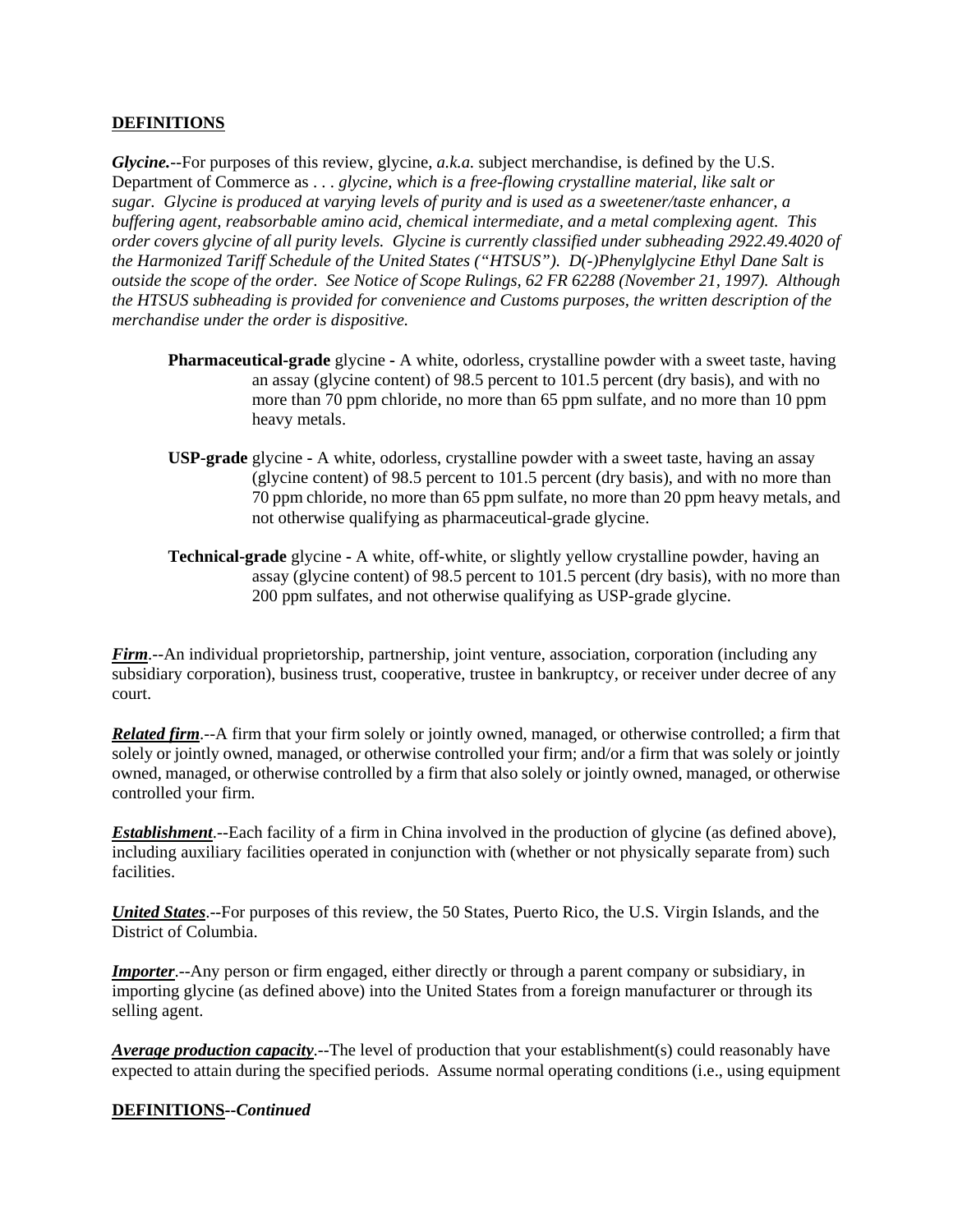### **DEFINITIONS**

*Glycine.*--For purposes of this review, glycine, *a.k.a.* subject merchandise, is defined by the U.S. Department of Commerce as . . . *glycine, which is a free-flowing crystalline material, like salt or sugar. Glycine is produced at varying levels of purity and is used as a sweetener/taste enhancer, a buffering agent, reabsorbable amino acid, chemical intermediate, and a metal complexing agent. This order covers glycine of all purity levels. Glycine is currently classified under subheading 2922.49.4020 of the Harmonized Tariff Schedule of the United States ("HTSUS"). D(-)Phenylglycine Ethyl Dane Salt is outside the scope of the order. See Notice of Scope Rulings, 62 FR 62288 (November 21, 1997). Although the HTSUS subheading is provided for convenience and Customs purposes, the written description of the merchandise under the order is dispositive.* 

- **Pharmaceutical-grade** glycineA white, odorless, crystalline powder with a sweet taste, having an assay (glycine content) of 98.5 percent to 101.5 percent (dry basis), and with no more than 70 ppm chloride, no more than 65 ppm sulfate, and no more than 10 ppm heavy metals.
- **USP-grade** glycineA white, odorless, crystalline powder with a sweet taste, having an assay (glycine content) of 98.5 percent to 101.5 percent (dry basis), and with no more than 70 ppm chloride, no more than 65 ppm sulfate, no more than 20 ppm heavy metals, and not otherwise qualifying as pharmaceutical-grade glycine.
- **Technical-grade** glycine **-** A white, off-white, or slightly yellow crystalline powder, having an assay (glycine content) of 98.5 percent to 101.5 percent (dry basis), with no more than 200 ppm sulfates, and not otherwise qualifying as USP-grade glycine.

*Firm*.--An individual proprietorship, partnership, joint venture, association, corporation (including any subsidiary corporation), business trust, cooperative, trustee in bankruptcy, or receiver under decree of any court.

*Related firm*.--A firm that your firm solely or jointly owned, managed, or otherwise controlled; a firm that solely or jointly owned, managed, or otherwise controlled your firm; and/or a firm that was solely or jointly owned, managed, or otherwise controlled by a firm that also solely or jointly owned, managed, or otherwise controlled your firm.

*Establishment*.--Each facility of a firm in China involved in the production of glycine (as defined above), including auxiliary facilities operated in conjunction with (whether or not physically separate from) such facilities.

*United States*.--For purposes of this review, the 50 States, Puerto Rico, the U.S. Virgin Islands, and the District of Columbia.

*Importer*.--Any person or firm engaged, either directly or through a parent company or subsidiary, in importing glycine (as defined above) into the United States from a foreign manufacturer or through its selling agent.

*Average production capacity*.--The level of production that your establishment(s) could reasonably have expected to attain during the specified periods. Assume normal operating conditions (i.e., using equipment

#### **DEFINITIONS--***Continued*